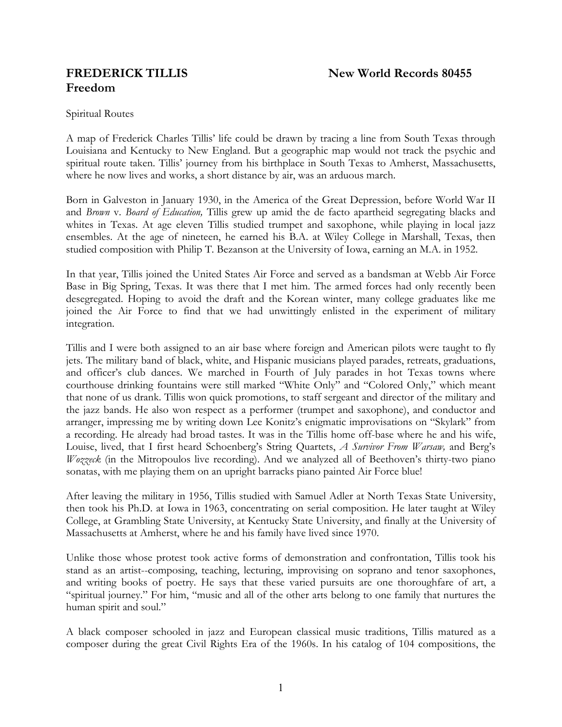# **Freedom**

Spiritual Routes

A map of Frederick Charles Tillis' life could be drawn by tracing a line from South Texas through Louisiana and Kentucky to New England. But a geographic map would not track the psychic and spiritual route taken. Tillis' journey from his birthplace in South Texas to Amherst, Massachusetts, where he now lives and works, a short distance by air, was an arduous march.

Born in Galveston in January 1930, in the America of the Great Depression, before World War II and *Brown* v. *Board of Education,* Tillis grew up amid the de facto apartheid segregating blacks and whites in Texas. At age eleven Tillis studied trumpet and saxophone, while playing in local jazz ensembles. At the age of nineteen, he earned his B.A. at Wiley College in Marshall, Texas, then studied composition with Philip T. Bezanson at the University of Iowa, earning an M.A. in 1952.

In that year, Tillis joined the United States Air Force and served as a bandsman at Webb Air Force Base in Big Spring, Texas. It was there that I met him. The armed forces had only recently been desegregated. Hoping to avoid the draft and the Korean winter, many college graduates like me joined the Air Force to find that we had unwittingly enlisted in the experiment of military integration.

Tillis and I were both assigned to an air base where foreign and American pilots were taught to fly jets. The military band of black, white, and Hispanic musicians played parades, retreats, graduations, and officer's club dances. We marched in Fourth of July parades in hot Texas towns where courthouse drinking fountains were still marked "White Only" and "Colored Only," which meant that none of us drank. Tillis won quick promotions, to staff sergeant and director of the military and the jazz bands. He also won respect as a performer (trumpet and saxophone), and conductor and arranger, impressing me by writing down Lee Konitz's enigmatic improvisations on "Skylark" from a recording. He already had broad tastes. It was in the Tillis home off-base where he and his wife, Louise, lived, that I first heard Schoenberg's String Quartets, *A Survivor From Warsaw,* and Berg's *Wozzeck* (in the Mitropoulos live recording). And we analyzed all of Beethoven's thirty-two piano sonatas, with me playing them on an upright barracks piano painted Air Force blue!

After leaving the military in 1956, Tillis studied with Samuel Adler at North Texas State University, then took his Ph.D. at Iowa in 1963, concentrating on serial composition. He later taught at Wiley College, at Grambling State University, at Kentucky State University, and finally at the University of Massachusetts at Amherst, where he and his family have lived since 1970.

Unlike those whose protest took active forms of demonstration and confrontation, Tillis took his stand as an artist--composing, teaching, lecturing, improvising on soprano and tenor saxophones, and writing books of poetry. He says that these varied pursuits are one thoroughfare of art, a "spiritual journey." For him, "music and all of the other arts belong to one family that nurtures the human spirit and soul."

A black composer schooled in jazz and European classical music traditions, Tillis matured as a composer during the great Civil Rights Era of the 1960s. In his catalog of 104 compositions, the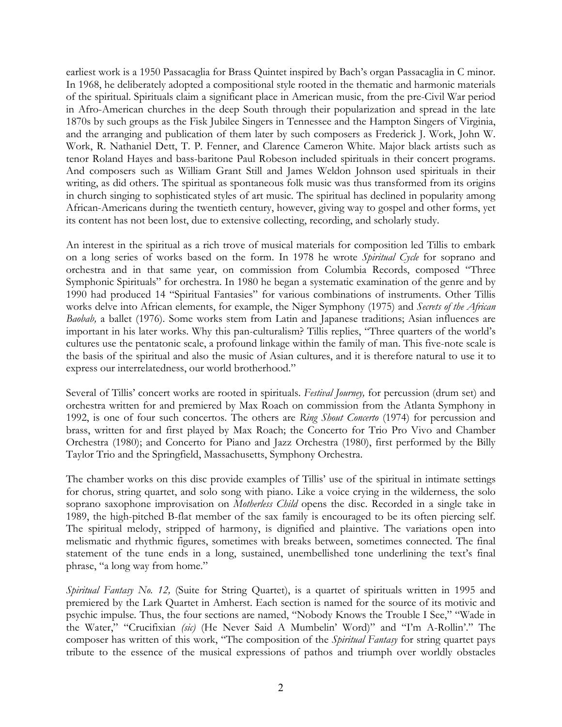earliest work is a 1950 Passacaglia for Brass Quintet inspired by Bach's organ Passacaglia in C minor. In 1968, he deliberately adopted a compositional style rooted in the thematic and harmonic materials of the spiritual. Spirituals claim a significant place in American music, from the pre-Civil War period in Afro-American churches in the deep South through their popularization and spread in the late 1870s by such groups as the Fisk Jubilee Singers in Tennessee and the Hampton Singers of Virginia, and the arranging and publication of them later by such composers as Frederick J. Work, John W. Work, R. Nathaniel Dett, T. P. Fenner, and Clarence Cameron White. Major black artists such as tenor Roland Hayes and bass-baritone Paul Robeson included spirituals in their concert programs. And composers such as William Grant Still and James Weldon Johnson used spirituals in their writing, as did others. The spiritual as spontaneous folk music was thus transformed from its origins in church singing to sophisticated styles of art music. The spiritual has declined in popularity among African-Americans during the twentieth century, however, giving way to gospel and other forms, yet its content has not been lost, due to extensive collecting, recording, and scholarly study.

An interest in the spiritual as a rich trove of musical materials for composition led Tillis to embark on a long series of works based on the form. In 1978 he wrote *Spiritual Cycle* for soprano and orchestra and in that same year, on commission from Columbia Records, composed "Three Symphonic Spirituals" for orchestra. In 1980 he began a systematic examination of the genre and by 1990 had produced 14 "Spiritual Fantasies" for various combinations of instruments. Other Tillis works delve into African elements, for example, the Niger Symphony (1975) and *Secrets of the African Baobab,* a ballet (1976). Some works stem from Latin and Japanese traditions; Asian influences are important in his later works. Why this pan-culturalism? Tillis replies, "Three quarters of the world's cultures use the pentatonic scale, a profound linkage within the family of man. This five-note scale is the basis of the spiritual and also the music of Asian cultures, and it is therefore natural to use it to express our interrelatedness, our world brotherhood."

Several of Tillis' concert works are rooted in spirituals. *Festival Journey,* for percussion (drum set) and orchestra written for and premiered by Max Roach on commission from the Atlanta Symphony in 1992, is one of four such concertos. The others are *Ring Shout Concerto* (1974) for percussion and brass, written for and first played by Max Roach; the Concerto for Trio Pro Vivo and Chamber Orchestra (1980); and Concerto for Piano and Jazz Orchestra (1980), first performed by the Billy Taylor Trio and the Springfield, Massachusetts, Symphony Orchestra.

The chamber works on this disc provide examples of Tillis' use of the spiritual in intimate settings for chorus, string quartet, and solo song with piano. Like a voice crying in the wilderness, the solo soprano saxophone improvisation on *Motherless Child* opens the disc. Recorded in a single take in 1989, the high-pitched B-flat member of the sax family is encouraged to be its often piercing self. The spiritual melody, stripped of harmony, is dignified and plaintive. The variations open into melismatic and rhythmic figures, sometimes with breaks between, sometimes connected. The final statement of the tune ends in a long, sustained, unembellished tone underlining the text's final phrase, "a long way from home."

*Spiritual Fantasy No. 12,* (Suite for String Quartet), is a quartet of spirituals written in 1995 and premiered by the Lark Quartet in Amherst. Each section is named for the source of its motivic and psychic impulse. Thus, the four sections are named, "Nobody Knows the Trouble I See," "Wade in the Water," "Crucifixian *(sic)* (He Never Said A Mumbelin' Word)" and "I'm A-Rollin'." The composer has written of this work, "The composition of the *Spiritual Fantasy* for string quartet pays tribute to the essence of the musical expressions of pathos and triumph over worldly obstacles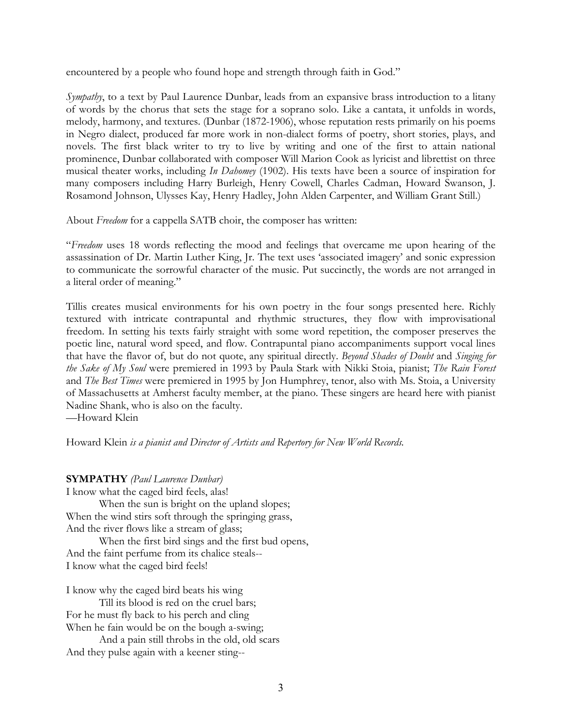encountered by a people who found hope and strength through faith in God."

*Sympathy*, to a text by Paul Laurence Dunbar, leads from an expansive brass introduction to a litany of words by the chorus that sets the stage for a soprano solo. Like a cantata, it unfolds in words, melody, harmony, and textures. (Dunbar (1872-1906), whose reputation rests primarily on his poems in Negro dialect, produced far more work in non-dialect forms of poetry, short stories, plays, and novels. The first black writer to try to live by writing and one of the first to attain national prominence, Dunbar collaborated with composer Will Marion Cook as lyricist and librettist on three musical theater works, including *In Dahomey* (1902). His texts have been a source of inspiration for many composers including Harry Burleigh, Henry Cowell, Charles Cadman, Howard Swanson, J. Rosamond Johnson, Ulysses Kay, Henry Hadley, John Alden Carpenter, and William Grant Still.)

About *Freedom* for a cappella SATB choir, the composer has written:

"*Freedom* uses 18 words reflecting the mood and feelings that overcame me upon hearing of the assassination of Dr. Martin Luther King, Jr. The text uses 'associated imagery' and sonic expression to communicate the sorrowful character of the music. Put succinctly, the words are not arranged in a literal order of meaning."

Tillis creates musical environments for his own poetry in the four songs presented here. Richly textured with intricate contrapuntal and rhythmic structures, they flow with improvisational freedom. In setting his texts fairly straight with some word repetition, the composer preserves the poetic line, natural word speed, and flow. Contrapuntal piano accompaniments support vocal lines that have the flavor of, but do not quote, any spiritual directly. *Beyond Shades of Doubt* and *Singing for the Sake of My Soul* were premiered in 1993 by Paula Stark with Nikki Stoia, pianist; *The Rain Forest*  and *The Best Times* were premiered in 1995 by Jon Humphrey, tenor, also with Ms. Stoia, a University of Massachusetts at Amherst faculty member, at the piano. These singers are heard here with pianist Nadine Shank, who is also on the faculty.

—Howard Klein

Howard Klein *is a pianist and Director of Artists and Repertory for New World Records.* 

# **SYMPATHY** *(Paul Laurence Dunbar)*

I know what the caged bird feels, alas! When the sun is bright on the upland slopes; When the wind stirs soft through the springing grass, And the river flows like a stream of glass;

When the first bird sings and the first bud opens, And the faint perfume from its chalice steals-- I know what the caged bird feels!

I know why the caged bird beats his wing

Till its blood is red on the cruel bars; For he must fly back to his perch and cling When he fain would be on the bough a-swing;

And a pain still throbs in the old, old scars And they pulse again with a keener sting--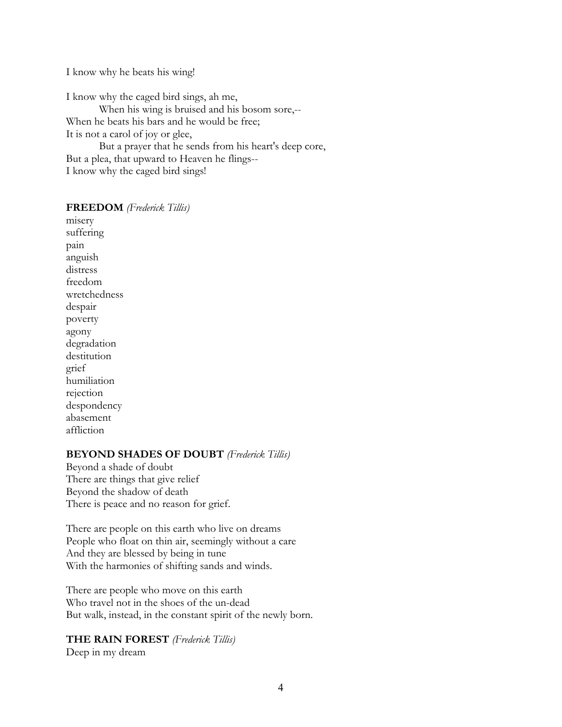I know why he beats his wing!

I know why the caged bird sings, ah me, When his wing is bruised and his bosom sore,-- When he beats his bars and he would be free; It is not a carol of joy or glee, But a prayer that he sends from his heart's deep core, But a plea, that upward to Heaven he flings--

I know why the caged bird sings!

#### **FREEDOM** *(Frederick Tillis)*

misery suffering pain anguish distress freedom wretchedness despair poverty agony degradation destitution grief humiliation rejection despondency abasement affliction

#### **BEYOND SHADES OF DOUBT** *(Frederick Tillis)*

Beyond a shade of doubt There are things that give relief Beyond the shadow of death There is peace and no reason for grief.

There are people on this earth who live on dreams People who float on thin air, seemingly without a care And they are blessed by being in tune With the harmonies of shifting sands and winds.

There are people who move on this earth Who travel not in the shoes of the un-dead But walk, instead, in the constant spirit of the newly born.

#### **THE RAIN FOREST** *(Frederick Tillis)*

Deep in my dream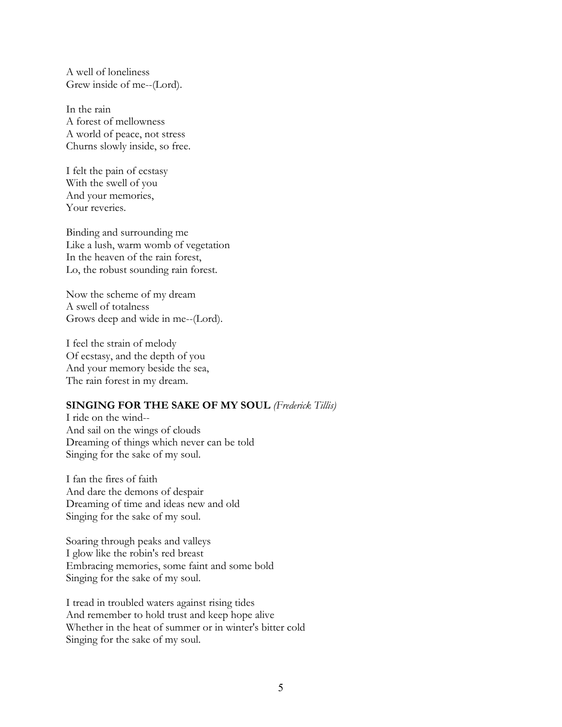A well of loneliness Grew inside of me--(Lord).

In the rain A forest of mellowness A world of peace, not stress Churns slowly inside, so free.

I felt the pain of ecstasy With the swell of you And your memories, Your reveries.

Binding and surrounding me Like a lush, warm womb of vegetation In the heaven of the rain forest, Lo, the robust sounding rain forest.

Now the scheme of my dream A swell of totalness Grows deep and wide in me--(Lord).

I feel the strain of melody Of ecstasy, and the depth of you And your memory beside the sea, The rain forest in my dream.

#### **SINGING FOR THE SAKE OF MY SOUL** *(Frederick Tillis)*

I ride on the wind-- And sail on the wings of clouds Dreaming of things which never can be told Singing for the sake of my soul.

I fan the fires of faith And dare the demons of despair Dreaming of time and ideas new and old Singing for the sake of my soul.

Soaring through peaks and valleys I glow like the robin's red breast Embracing memories, some faint and some bold Singing for the sake of my soul.

I tread in troubled waters against rising tides And remember to hold trust and keep hope alive Whether in the heat of summer or in winter's bitter cold Singing for the sake of my soul.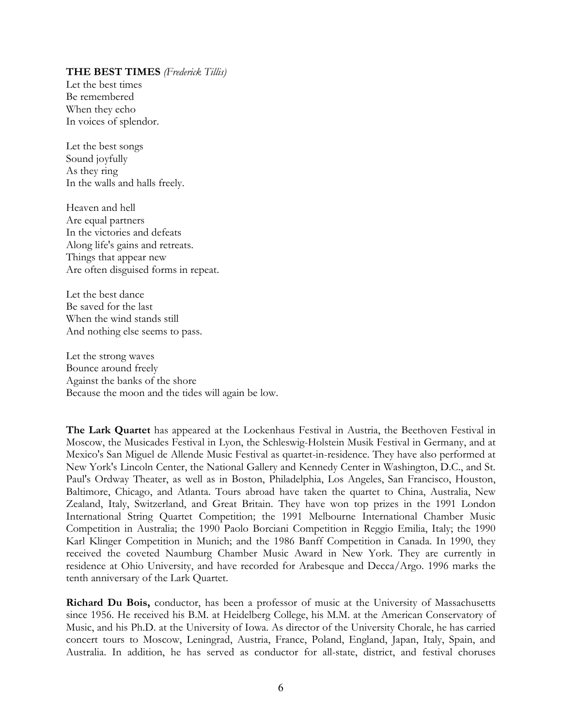#### **THE BEST TIMES** *(Frederick Tillis)*

Let the best times Be remembered When they echo In voices of splendor.

Let the best songs Sound joyfully As they ring In the walls and halls freely.

Heaven and hell Are equal partners In the victories and defeats Along life's gains and retreats. Things that appear new Are often disguised forms in repeat.

Let the best dance Be saved for the last When the wind stands still And nothing else seems to pass.

Let the strong waves Bounce around freely Against the banks of the shore Because the moon and the tides will again be low.

**The Lark Quartet** has appeared at the Lockenhaus Festival in Austria, the Beethoven Festival in Moscow, the Musicades Festival in Lyon, the Schleswig-Holstein Musik Festival in Germany, and at Mexico's San Miguel de Allende Music Festival as quartet-in-residence. They have also performed at New York's Lincoln Center, the National Gallery and Kennedy Center in Washington, D.C., and St. Paul's Ordway Theater, as well as in Boston, Philadelphia, Los Angeles, San Francisco, Houston, Baltimore, Chicago, and Atlanta. Tours abroad have taken the quartet to China, Australia, New Zealand, Italy, Switzerland, and Great Britain. They have won top prizes in the 1991 London International String Quartet Competition; the 1991 Melbourne International Chamber Music Competition in Australia; the 1990 Paolo Borciani Competition in Reggio Emilia, Italy; the 1990 Karl Klinger Competition in Munich; and the 1986 Banff Competition in Canada. In 1990, they received the coveted Naumburg Chamber Music Award in New York. They are currently in residence at Ohio University, and have recorded for Arabesque and Decca/Argo. 1996 marks the tenth anniversary of the Lark Quartet.

**Richard Du Bois,** conductor, has been a professor of music at the University of Massachusetts since 1956. He received his B.M. at Heidelberg College, his M.M. at the American Conservatory of Music, and his Ph.D. at the University of Iowa. As director of the University Chorale, he has carried concert tours to Moscow, Leningrad, Austria, France, Poland, England, Japan, Italy, Spain, and Australia. In addition, he has served as conductor for all-state, district, and festival choruses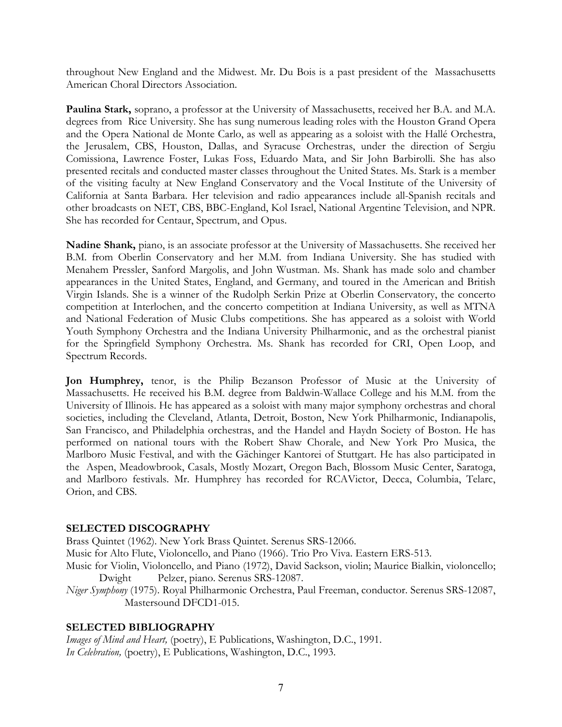throughout New England and the Midwest. Mr. Du Bois is a past president of the Massachusetts American Choral Directors Association.

**Paulina Stark,** soprano, a professor at the University of Massachusetts, received her B.A. and M.A. degrees from Rice University. She has sung numerous leading roles with the Houston Grand Opera and the Opera National de Monte Carlo, as well as appearing as a soloist with the Hallé Orchestra, the Jerusalem, CBS, Houston, Dallas, and Syracuse Orchestras, under the direction of Sergiu Comissiona, Lawrence Foster, Lukas Foss, Eduardo Mata, and Sir John Barbirolli. She has also presented recitals and conducted master classes throughout the United States. Ms. Stark is a member of the visiting faculty at New England Conservatory and the Vocal Institute of the University of California at Santa Barbara. Her television and radio appearances include all-Spanish recitals and other broadcasts on NET, CBS, BBC-England, Kol Israel, National Argentine Television, and NPR. She has recorded for Centaur, Spectrum, and Opus.

**Nadine Shank,** piano, is an associate professor at the University of Massachusetts. She received her B.M. from Oberlin Conservatory and her M.M. from Indiana University. She has studied with Menahem Pressler, Sanford Margolis, and John Wustman. Ms. Shank has made solo and chamber appearances in the United States, England, and Germany, and toured in the American and British Virgin Islands. She is a winner of the Rudolph Serkin Prize at Oberlin Conservatory, the concerto competition at Interlochen, and the concerto competition at Indiana University, as well as MTNA and National Federation of Music Clubs competitions. She has appeared as a soloist with World Youth Symphony Orchestra and the Indiana University Philharmonic, and as the orchestral pianist for the Springfield Symphony Orchestra. Ms. Shank has recorded for CRI, Open Loop, and Spectrum Records.

**Jon Humphrey,** tenor, is the Philip Bezanson Professor of Music at the University of Massachusetts. He received his B.M. degree from Baldwin-Wallace College and his M.M. from the University of Illinois. He has appeared as a soloist with many major symphony orchestras and choral societies, including the Cleveland, Atlanta, Detroit, Boston, New York Philharmonic, Indianapolis, San Francisco, and Philadelphia orchestras, and the Handel and Haydn Society of Boston. He has performed on national tours with the Robert Shaw Chorale, and New York Pro Musica, the Marlboro Music Festival, and with the Gächinger Kantorei of Stuttgart. He has also participated in the Aspen, Meadowbrook, Casals, Mostly Mozart, Oregon Bach, Blossom Music Center, Saratoga, and Marlboro festivals. Mr. Humphrey has recorded for RCAVictor, Decca, Columbia, Telarc, Orion, and CBS.

# **SELECTED DISCOGRAPHY**

Brass Quintet (1962). New York Brass Quintet. Serenus SRS-12066. Music for Alto Flute, Violoncello, and Piano (1966). Trio Pro Viva. Eastern ERS-513. Music for Violin, Violoncello, and Piano (1972), David Sackson, violin; Maurice Bialkin, violoncello; Dwight Pelzer, piano. Serenus SRS-12087. *Niger Symphony* (1975). Royal Philharmonic Orchestra, Paul Freeman, conductor. Serenus SRS-12087, Mastersound DFCD1-015.

#### **SELECTED BIBLIOGRAPHY**

*Images of Mind and Heart,* (poetry), E Publications, Washington, D.C., 1991. *In Celebration,* (poetry), E Publications, Washington, D.C., 1993.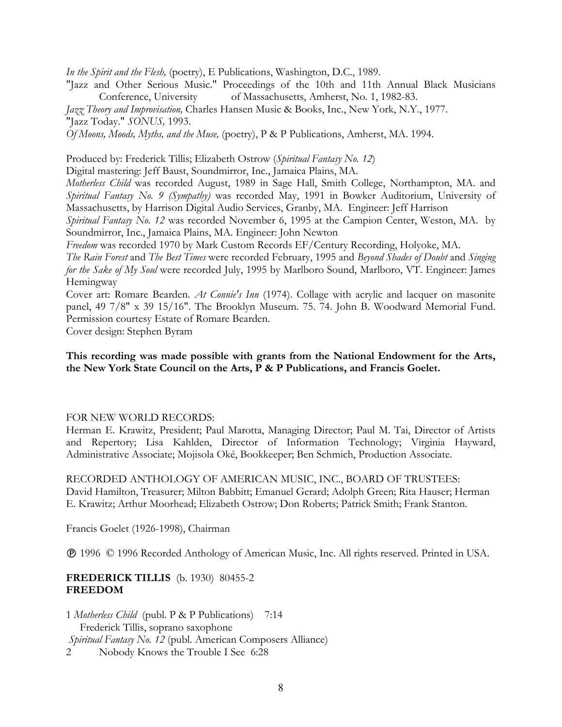*In the Spirit and the Flesh,* (poetry), E Publications, Washington, D.C., 1989.

"Jazz and Other Serious Music." Proceedings of the 10th and 11th Annual Black Musicians Conference, University of Massachusetts, Amherst, No. 1, 1982-83.

*Jazz Theory and Improvisation,* Charles Hansen Music & Books, Inc., New York, N.Y., 1977.

"Jazz Today." *SONUS,* 1993.

*Of Moons, Moods, Myths, and the Muse,* (poetry), P & P Publications, Amherst, MA. 1994.

Produced by: Frederick Tillis; Elizabeth Ostrow (*Spiritual Fantasy No. 12*)

Digital mastering: Jeff Baust, Soundmirror, Inc., Jamaica Plains, MA.

*Motherless Child* was recorded August, 1989 in Sage Hall, Smith College, Northampton, MA. and *Spiritual Fantasy No. 9 (Sympathy)* was recorded May, 1991 in Bowker Auditorium, University of Massachusetts, by Harrison Digital Audio Services, Granby, MA. Engineer: Jeff Harrison

*Spiritual Fantasy No. 12* was recorded November 6, 1995 at the Campion Center, Weston, MA. by Soundmirror, Inc., Jamaica Plains, MA. Engineer: John Newton

*Freedom* was recorded 1970 by Mark Custom Records EF/Century Recording, Holyoke, MA.

*The Rain Forest* and *The Best Times* were recorded February, 1995 and *Beyond Shades of Doubt* and *Singing for the Sake of My Soul* were recorded July, 1995 by Marlboro Sound, Marlboro, VT. Engineer: James Hemingway

Cover art: Romare Bearden. *At Connie's Inn* (1974). Collage with acrylic and lacquer on masonite panel, 49 7/8" x 39 15/16". The Brooklyn Museum. 75. 74. John B. Woodward Memorial Fund. Permission courtesy Estate of Romare Bearden.

Cover design: Stephen Byram

### **This recording was made possible with grants from the National Endowment for the Arts, the New York State Council on the Arts, P & P Publications, and Francis Goelet.**

# FOR NEW WORLD RECORDS:

Herman E. Krawitz, President; Paul Marotta, Managing Director; Paul M. Tai, Director of Artists and Repertory; Lisa Kahlden, Director of Information Technology; Virginia Hayward, Administrative Associate; Mojisola Oké, Bookkeeper; Ben Schmich, Production Associate.

RECORDED ANTHOLOGY OF AMERICAN MUSIC, INC., BOARD OF TRUSTEES: David Hamilton, Treasurer; Milton Babbitt; Emanuel Gerard; Adolph Green; Rita Hauser; Herman E. Krawitz; Arthur Moorhead; Elizabeth Ostrow; Don Roberts; Patrick Smith; Frank Stanton.

Francis Goelet (1926-1998), Chairman

1996 © 1996 Recorded Anthology of American Music, Inc. All rights reserved. Printed in USA.

# **FREDERICK TILLIS** (b. 1930)80455-2 **FREEDOM**

1 *Motherless Child* (publ. P & P Publications) 7:14 Frederick Tillis, soprano saxophone *Spiritual Fantasy No. 12* (publ. American Composers Alliance) 2 Nobody Knows the Trouble I See 6:28